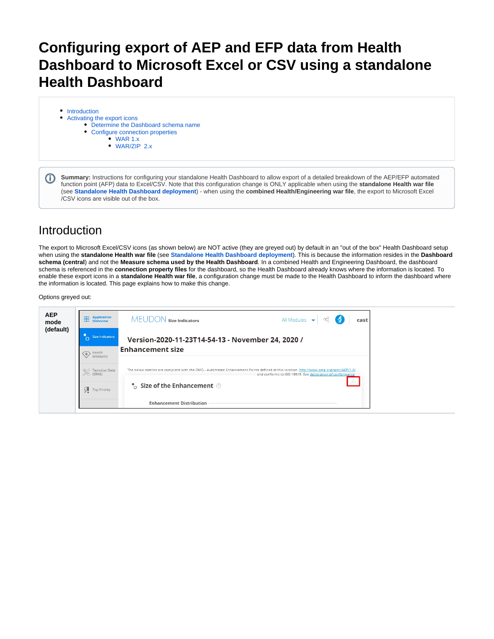## **Configuring export of AEP and EFP data from Health Dashboard to Microsoft Excel or CSV using a standalone Health Dashboard**

- [Introduction](#page-0-0)
- [Activating the export icons](#page-1-0)
	- [Determine the Dashboard schema name](#page-1-1)
		- [Configure connection properties](#page-3-0)
			- [WAR 1.x](#page-3-1)
				- [WAR/ZIP 2.x](#page-4-0)

**Summary:** Instructions for configuring your standalone Health Dashboard to allow export of a detailed breakdown of the AEP/EFP automated (i) function point (AFP) data to Excel/CSV. Note that this configuration change is ONLY applicable when using the **standalone Health war file** (see **[Standalone Health Dashboard deployment](https://doc.castsoftware.com/display/DASHBOARDS/Standalone+Health+Dashboard+deployment)**) - when using the **combined Health/Engineering war file**, the export to Microsoft Excel /CSV icons are visible out of the box.

## <span id="page-0-0"></span>Introduction

The export to Microsoft Excel/CSV icons (as shown below) are NOT active (they are greyed out) by default in an "out of the box" Health Dashboard setup when using the **standalone Health war file** (see **[Standalone Health Dashboard deployment](https://doc.castsoftware.com/display/DASHBOARDS/Standalone+Health+Dashboard+deployment)**). This is because the information resides in the **Dashboard schema (central**) and not the **Measure schema used by the Health Dashboard**. In a combined Health and Engineering Dashboard, the dashboard schema is referenced in the **connection property files** for the dashboard, so the Health Dashboard already knows where the information is located. To enable these export icons in a **standalone Health war file**, a configuration change must be made to the Health Dashboard to inform the dashboard where the information is located. This page explains how to make this change.

### Options greyed out:

| <b>AEP</b><br>mode | <b>Application</b><br>嘂<br>Overview | All Modules $\rightarrow$<br>$\lceil 3 \rceil$<br>MEUDON size Indicators<br>ದೆ.<br>cast                                                                                                              |
|--------------------|-------------------------------------|------------------------------------------------------------------------------------------------------------------------------------------------------------------------------------------------------|
| (default)          | <b>Size Indicators</b>              | Version-2020-11-23T14-54-13 - November 24, 2020 /                                                                                                                                                    |
|                    | Health<br>Measures                  | <b>Enhancement size</b>                                                                                                                                                                              |
|                    | <b>Technical Debt</b><br>(OMG)      | The below metrics are compliant with the OMG - Automated Enhancement Points defined at this location. http://www.omg.org/spec/AEP/1.0/<br>and conforms to ISO 19515. See declaration of conformance. |
|                    | ĻЯ<br><b>Top Priority</b>           | $\bullet$ Size of the Enhancement $\circledcirc$                                                                                                                                                     |
|                    |                                     | <b>Enhancement Distribution</b>                                                                                                                                                                      |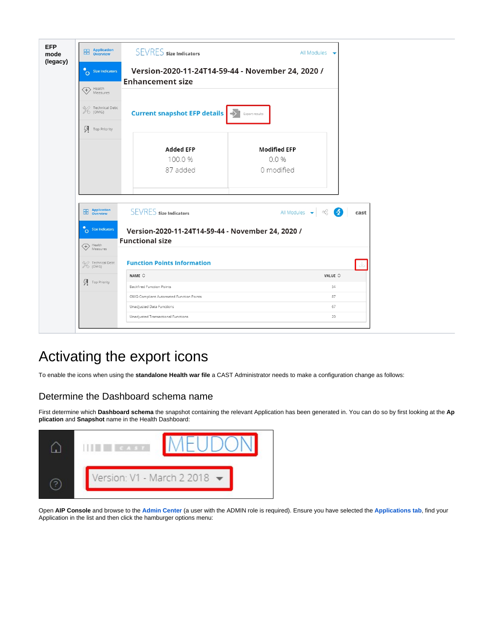| <b>EFP</b><br>mode | <b>Application</b><br><b>Burnal</b> Overview                   | <b>SEVRES</b> size Indicators                                                | All Modules $\rightarrow$                                                         |  |
|--------------------|----------------------------------------------------------------|------------------------------------------------------------------------------|-----------------------------------------------------------------------------------|--|
| (legacy)           | ိဂ<br><b>Size Indicators</b><br>$\bigoplus$ Health<br>Measures | Version-2020-11-24T14-59-44 - November 24, 2020 /<br><b>Enhancement size</b> |                                                                                   |  |
|                    | री√े Technical Debt<br>OMG)                                    | <b>Current snapshot EFP details</b>                                          | Export results                                                                    |  |
|                    | Ą<br>Top Priority                                              | <b>Added EFP</b><br>100.0%<br>87 added                                       | <b>Modified EFP</b><br>0.0%<br>0 modified                                         |  |
|                    | <b>Application</b><br>噐<br>Overview                            | <b>SEVRES</b> size Indicators                                                | All Modules $\leftarrow$ $\leftarrow$ $\leftarrow$ $\leftarrow$ $\leftarrow$ cast |  |
|                    | Size Indicators<br>$\Leftrightarrow$ Health<br>Measures        | Version-2020-11-24T14-59-44 - November 24, 2020 /<br><b>Functional size</b>  |                                                                                   |  |
|                    | X Technical Debt                                               | <b>Function Points Information</b>                                           |                                                                                   |  |
|                    |                                                                | NAME $\Diamond$                                                              | VALUE $\circ$                                                                     |  |
|                    | $\mathcal{G}$ Top Priority                                     | <b>Backfired Function Points</b>                                             | 54                                                                                |  |
|                    |                                                                | OMG-Compliant Automated Function Points                                      | 87                                                                                |  |
|                    |                                                                | Unadjusted Data Functions                                                    | 67                                                                                |  |
|                    |                                                                | Unadjusted Transactional Functions                                           | 20                                                                                |  |

# <span id="page-1-0"></span>Activating the export icons

To enable the icons when using the **standalone Health war file** a CAST Administrator needs to make a configuration change as follows:

## <span id="page-1-1"></span>Determine the Dashboard schema name

First determine which **Dashboard schema** the snapshot containing the relevant Application has been generated in. You can do so by first looking at the **Ap plication** and **Snapshot** name in the Health Dashboard:



Open **AIP Console** and browse to the **[Admin Center](https://doc.castsoftware.com/display/AIPCONSOLE/Administration+Center)** (a user with the ADMIN role is required). Ensure you have selected the **[Applications tab](https://doc.castsoftware.com/display/AIPCONSOLE/Administration+Center+-+Applications)**, find your Application in the list and then click the hamburger options menu: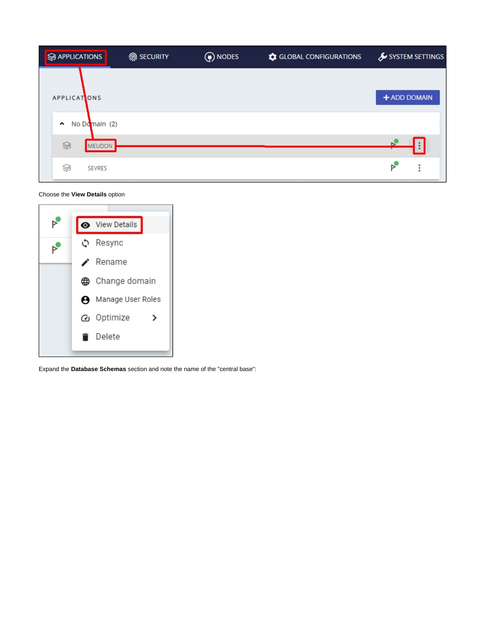| <b>S</b> APPLICATIONS                | <b>m</b> SECURITY | (a) NODES | GLOBAL CONFIGURATIONS | SYSTEM SETTINGS |
|--------------------------------------|-------------------|-----------|-----------------------|-----------------|
| <b>APPLICATONS</b>                   |                   |           |                       | + ADD DOMAIN    |
| No Domain (2)<br>$\hat{\phantom{a}}$ |                   |           |                       |                 |
| Ş<br><b>MEUDON</b>                   |                   |           |                       |                 |
| ≶<br><b>SEVRES</b>                   |                   |           |                       |                 |

Choose the **View Details** option



Expand the **Database Schemas** section and note the name of the "central base":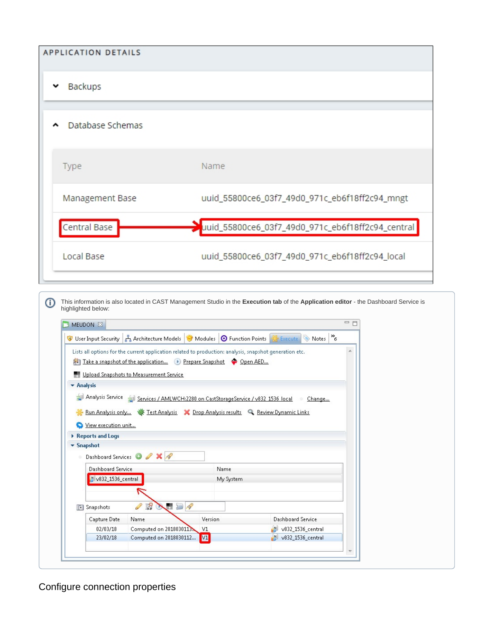| <b>APPLICATION DETAILS</b> |                                                   |
|----------------------------|---------------------------------------------------|
| Backups                    |                                                   |
| Database Schemas           |                                                   |
| Type                       | Name                                              |
| Management Base            | uuid_55800ce6_03f7_49d0_971c_eb6f18ff2c94_mngt    |
| Central Base               | uuid_55800ce6_03f7_49d0_971c_eb6f18ff2c94_central |
| Local Base                 | uuid_55800ce6_03f7_49d0_971c_eb6f18ff2c94_local   |

 $^\circledR$ This information is also located in CAST Management Studio in the **Execution tab** of the **Application editor** - the Dashboard Service is highlighted below:

|                                |                     |                                         | Lists all options for the current application related to production: analysis, snapshot generation etc. |                   |  |
|--------------------------------|---------------------|-----------------------------------------|---------------------------------------------------------------------------------------------------------|-------------------|--|
|                                |                     |                                         | Take a snapshot of the application D Prepare Snapshot C Open AED                                        |                   |  |
|                                |                     | Upload Snapshots to Measurement Service |                                                                                                         |                   |  |
| <b>*</b> Analysis              |                     |                                         |                                                                                                         |                   |  |
|                                |                     |                                         | Analysis Service Services / AMLWCH:2280 on CastStorageService / v832 1536 local                         | Change            |  |
|                                |                     |                                         |                                                                                                         |                   |  |
|                                |                     |                                         | Run Analysis only We Test Analysis X Drop Analysis results Q Review Dynamic Links                       |                   |  |
|                                | View execution unit |                                         |                                                                                                         |                   |  |
|                                |                     |                                         |                                                                                                         |                   |  |
|                                | Reports and Logs    |                                         |                                                                                                         |                   |  |
| $\blacktriangleright$ Snapshot |                     |                                         |                                                                                                         |                   |  |
|                                |                     |                                         |                                                                                                         |                   |  |
|                                |                     | Dashboard Services O 2 X P              |                                                                                                         |                   |  |
|                                | Dashboard Service   |                                         | Name                                                                                                    |                   |  |
|                                | V832_1536_central   |                                         | My System                                                                                               |                   |  |
|                                |                     |                                         |                                                                                                         |                   |  |
| $\lceil$ $\lceil$ $\rceil$     | Snapshots           | 曙<br><b>NED</b><br>P                    |                                                                                                         |                   |  |
|                                | Capture Date        | Name                                    | Version                                                                                                 | Dashboard Service |  |
|                                | 02/03/18            | Computed on 2018030113                  | V1                                                                                                      | v832_1536_central |  |

<span id="page-3-1"></span><span id="page-3-0"></span>Configure connection properties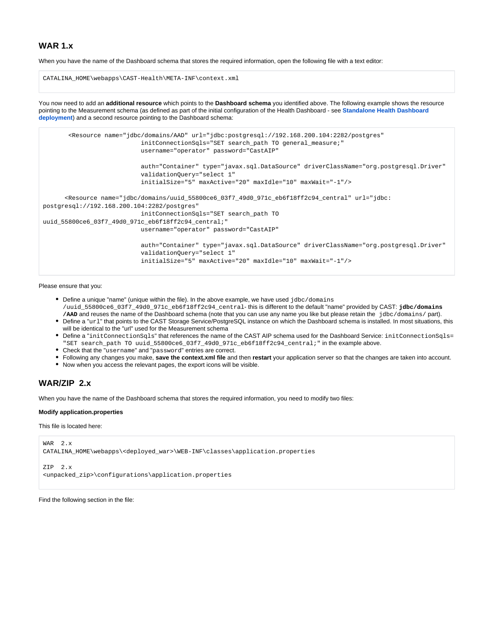### **WAR 1.x**

When you have the name of the Dashboard schema that stores the required information, open the following file with a text editor:

```
CATALINA_HOME\webapps\CAST-Health\META-INF\context.xml
```
You now need to add an **additional resource** which points to the **Dashboard schema** you identified above. The following example shows the resource pointing to the Measurement schema (as defined as part of the initial configuration of the Health Dashboard - see **[Standalone Health Dashboard](https://doc.castsoftware.com/display/DASHBOARDS/Standalone+Health+Dashboard+deployment)  [deployment](https://doc.castsoftware.com/display/DASHBOARDS/Standalone+Health+Dashboard+deployment)**) and a second resource pointing to the Dashboard schema:

```
 <Resource name="jdbc/domains/AAD" url="jdbc:postgresql://192.168.200.104:2282/postgres"
                            initConnectionSqls="SET search_path TO general_measure;"
                            username="operator" password="CastAIP"
                            auth="Container" type="javax.sql.DataSource" driverClassName="org.postgresql.Driver"
                            validationQuery="select 1"
                            initialSize="5" maxActive="20" maxIdle="10" maxWait="-1"/>
       <Resource name="jdbc/domains/uuid_55800ce6_03f7_49d0_971c_eb6f18ff2c94_central" url="jdbc:
postgresql://192.168.200.104:2282/postgres"
                            initConnectionSqls="SET search_path TO 
uuid_55800ce6_03f7_49d0_971c_eb6f18ff2c94_central;"
                            username="operator" password="CastAIP"
                            auth="Container" type="javax.sql.DataSource" driverClassName="org.postgresql.Driver"
                            validationQuery="select 1"
                            initialSize="5" maxActive="20" maxIdle="10" maxWait="-1"/>
```
Please ensure that you:

- Define a unique "name" (unique within the file). In the above example, we have used jdbc/domains /uuid\_55800ce6\_03f7\_49d0\_971c\_eb6f18ff2c94\_central- this is different to the default "name" provided by CAST: **jdbc/domains /AAD** and reuses the name of the Dashboard schema (note that you can use any name you like but please retain the jdbc/domains/ part).
- Define a "url" that points to the CAST Storage Service/PostgreSQL instance on which the Dashboard schema is installed. In most situations, this will be identical to the "url" used for the Measurement schema
- Define a "initConnectionSqls" that references the name of the CAST AIP schema used for the Dashboard Service: initConnectionSqls= "SET search\_path TO uuid\_55800ce6\_03f7\_49d0\_971c\_eb6f18ff2c94\_central;" in the example above.
- Check that the "username" and "password" entries are correct.
- Following any changes you make, **save the context.xml file** and then **restart** your application server so that the changes are taken into account.
- Now when you access the relevant pages, the export icons will be visible.

## <span id="page-4-0"></span>**WAR/ZIP 2.x**

When you have the name of the Dashboard schema that stores the required information, you need to modify two files:

#### **Modify application.properties**

This file is located here:

```
WAR 2.x
CATALINA_HOME\webapps\<deployed_war>\WEB-INF\classes\application.properties
ZIP 2.x
```
<unpacked\_zip>\configurations\application.properties

Find the following section in the file: